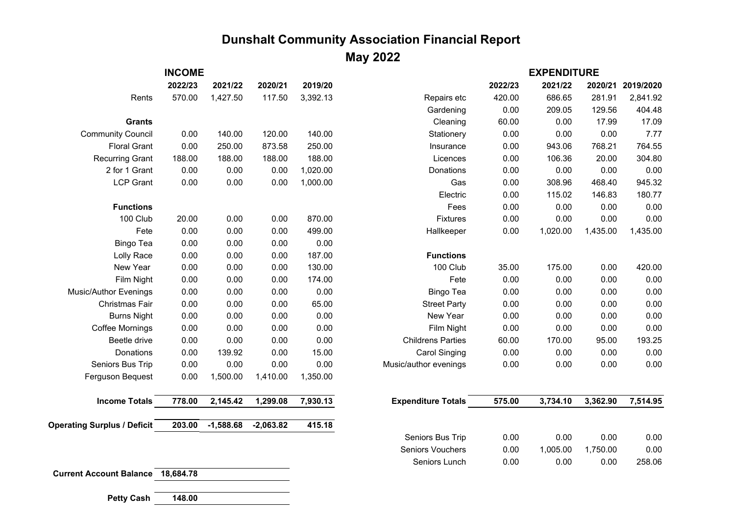## **Dunshalt Community Association Financial Report**

## **May 2022**

|                                          | <b>INCOME</b> |             |             |          |                           | <b>EXPENDITURE</b> |          |          |           |
|------------------------------------------|---------------|-------------|-------------|----------|---------------------------|--------------------|----------|----------|-----------|
|                                          | 2022/23       | 2021/22     | 2020/21     | 2019/20  |                           | 2022/23            | 2021/22  | 2020/21  | 2019/2020 |
| Rents                                    | 570.00        | 1,427.50    | 117.50      | 3,392.13 | Repairs etc               | 420.00             | 686.65   | 281.91   | 2,841.92  |
|                                          |               |             |             |          | Gardening                 | 0.00               | 209.05   | 129.56   | 404.48    |
| <b>Grants</b>                            |               |             |             |          | Cleaning                  | 60.00              | 0.00     | 17.99    | 17.09     |
| <b>Community Council</b>                 | 0.00          | 140.00      | 120.00      | 140.00   | Stationery                | 0.00               | 0.00     | 0.00     | 7.77      |
| <b>Floral Grant</b>                      | 0.00          | 250.00      | 873.58      | 250.00   | Insurance                 | 0.00               | 943.06   | 768.21   | 764.55    |
| <b>Recurring Grant</b>                   | 188.00        | 188.00      | 188.00      | 188.00   | Licences                  | 0.00               | 106.36   | 20.00    | 304.80    |
| 2 for 1 Grant                            | 0.00          | 0.00        | 0.00        | 1,020.00 | Donations                 | 0.00               | 0.00     | 0.00     | 0.00      |
| <b>LCP Grant</b>                         | 0.00          | 0.00        | 0.00        | 1,000.00 | Gas                       | 0.00               | 308.96   | 468.40   | 945.32    |
|                                          |               |             |             |          | Electric                  | 0.00               | 115.02   | 146.83   | 180.77    |
| <b>Functions</b>                         |               |             |             |          | Fees                      | 0.00               | 0.00     | 0.00     | 0.00      |
| 100 Club                                 | 20.00         | 0.00        | 0.00        | 870.00   | <b>Fixtures</b>           | 0.00               | 0.00     | 0.00     | 0.00      |
| Fete                                     | 0.00          | 0.00        | 0.00        | 499.00   | Hallkeeper                | 0.00               | 1,020.00 | 1,435.00 | 1,435.00  |
| <b>Bingo Tea</b>                         | 0.00          | 0.00        | 0.00        | 0.00     |                           |                    |          |          |           |
| Lolly Race                               | 0.00          | 0.00        | 0.00        | 187.00   | <b>Functions</b>          |                    |          |          |           |
| New Year                                 | 0.00          | 0.00        | 0.00        | 130.00   | 100 Club                  | 35.00              | 175.00   | 0.00     | 420.00    |
| Film Night                               | 0.00          | 0.00        | 0.00        | 174.00   | Fete                      | 0.00               | 0.00     | 0.00     | 0.00      |
| <b>Music/Author Evenings</b>             | 0.00          | 0.00        | 0.00        | 0.00     | <b>Bingo Tea</b>          | 0.00               | 0.00     | 0.00     | 0.00      |
| Christmas Fair                           | 0.00          | 0.00        | 0.00        | 65.00    | <b>Street Party</b>       | 0.00               | 0.00     | 0.00     | 0.00      |
| <b>Burns Night</b>                       | 0.00          | 0.00        | 0.00        | 0.00     | New Year                  | 0.00               | 0.00     | 0.00     | 0.00      |
| <b>Coffee Mornings</b>                   | 0.00          | 0.00        | 0.00        | 0.00     | Film Night                | 0.00               | 0.00     | 0.00     | 0.00      |
| Beetle drive                             | 0.00          | 0.00        | 0.00        | 0.00     | <b>Childrens Parties</b>  | 60.00              | 170.00   | 95.00    | 193.25    |
| Donations                                | 0.00          | 139.92      | 0.00        | 15.00    | <b>Carol Singing</b>      | 0.00               | 0.00     | 0.00     | 0.00      |
| Seniors Bus Trip                         | 0.00          | 0.00        | 0.00        | 0.00     | Music/author evenings     | 0.00               | 0.00     | 0.00     | 0.00      |
| Ferguson Bequest                         | 0.00          | 1,500.00    | 1,410.00    | 1,350.00 |                           |                    |          |          |           |
| <b>Income Totals</b>                     | 778.00        | 2,145.42    | 1,299.08    | 7,930.13 | <b>Expenditure Totals</b> | 575.00             | 3,734.10 | 3,362.90 | 7,514.95  |
| <b>Operating Surplus / Deficit</b>       | 203.00        | $-1,588.68$ | $-2,063.82$ | 415.18   |                           |                    |          |          |           |
|                                          |               |             |             |          | Seniors Bus Trip          | 0.00               | 0.00     | 0.00     | 0.00      |
|                                          |               |             |             |          | <b>Seniors Vouchers</b>   | 0.00               | 1,005.00 | 1,750.00 | 0.00      |
|                                          |               |             |             |          | Seniors Lunch             | 0.00               | 0.00     | 0.00     | 258.06    |
| <b>Current Account Balance 18,684.78</b> |               |             |             |          |                           |                    |          |          |           |

**Petty Cash 148.00**